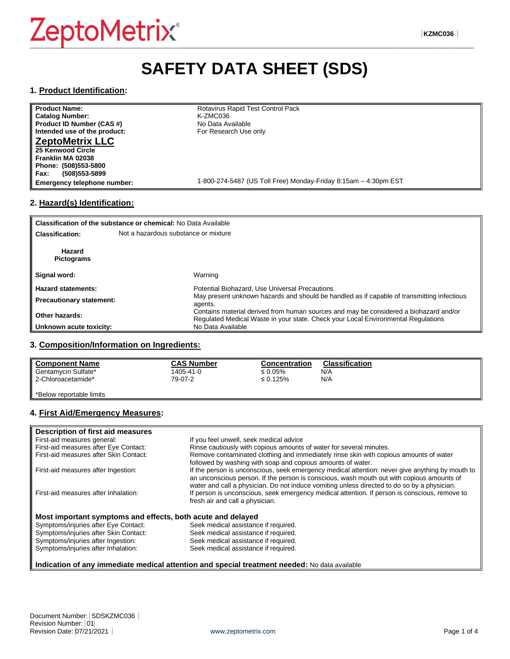# **SAFETY DATA SHEET (SDS)**

#### **1. Product Identification:**

| <b>Product Name:</b>               | Rotavirus Rapid Test Control Pack                               |
|------------------------------------|-----------------------------------------------------------------|
| <b>Catalog Number:</b>             | K-ZMC036                                                        |
| Product ID Number (CAS #)          | No Data Available                                               |
| Intended use of the product:       | For Research Use only                                           |
| <b>ZeptoMetrix LLC</b>             |                                                                 |
| 25 Kenwood Circle                  |                                                                 |
| Franklin MA 02038                  |                                                                 |
| Phone: (508)553-5800               |                                                                 |
| <b>Fax:</b><br>$(508)553 - 5899$   |                                                                 |
| <b>Emergency telephone number:</b> | 1-800-274-5487 (US Toll Free) Monday-Friday 8:15am - 4:30pm EST |
|                                    |                                                                 |

# **2. Hazard(s) Identification:**

| Classification of the substance or chemical: No Data Available |                                                                                                                                                                            |  |
|----------------------------------------------------------------|----------------------------------------------------------------------------------------------------------------------------------------------------------------------------|--|
| <b>Classification:</b>                                         | Not a hazardous substance or mixture                                                                                                                                       |  |
| Hazard<br><b>Pictograms</b>                                    |                                                                                                                                                                            |  |
| Signal word:                                                   | Warning                                                                                                                                                                    |  |
| <b>Hazard statements:</b>                                      | Potential Biohazard, Use Universal Precautions                                                                                                                             |  |
| <b>Precautionary statement:</b>                                | May present unknown hazards and should be handled as if capable of transmitting infectious<br>agents.                                                                      |  |
| Other hazards:                                                 | Contains material derived from human sources and may be considered a biohazard and/or<br>Regulated Medical Waste in your state. Check your Local Environmental Regulations |  |
| Unknown acute toxicity:                                        | No Data Available                                                                                                                                                          |  |

#### **3. Composition/Information on Ingredients:**

| <b>Component Name</b> | <b>CAS Number</b> | Concentration  | <b>Classification</b> |
|-----------------------|-------------------|----------------|-----------------------|
| Gentamycin Sulfate*   | 1405-41-0         | ≤ 0.05%        | N/A                   |
| 2-Chloroacetamide*    | 79-07-2           | $\leq 0.125\%$ | N/A                   |
|                       |                   |                |                       |

\*Below reportable limits

#### **4. First Aid/Emergency Measures:**

| Description of first aid measures                           |                                                                                                 |
|-------------------------------------------------------------|-------------------------------------------------------------------------------------------------|
| First-aid measures general:                                 | If you feel unwell, seek medical advice                                                         |
| First-aid measures after Eye Contact:                       | Rinse cautiously with copious amounts of water for several minutes.                             |
| First-aid measures after Skin Contact:                      | Remove contaminated clothing and immediately rinse skin with copious amounts of water           |
|                                                             | followed by washing with soap and copious amounts of water.                                     |
| First-aid measures after Ingestion:                         | If the person is unconscious, seek emergency medical attention: never give anything by mouth to |
|                                                             | an unconscious person. If the person is conscious, wash mouth out with copious amounts of       |
|                                                             | water and call a physician. Do not induce vomiting unless directed to do so by a physician.     |
| First-aid measures after Inhalation:                        | If person is unconscious, seek emergency medical attention. If person is conscious, remove to   |
|                                                             | fresh air and call a physician.                                                                 |
|                                                             |                                                                                                 |
| Most important symptoms and effects, both acute and delayed |                                                                                                 |
| Symptoms/injuries after Eye Contact:                        | Seek medical assistance if required.                                                            |
| Symptoms/injuries after Skin Contact:                       | Seek medical assistance if required.                                                            |
| Symptoms/injuries after Ingestion:                          | Seek medical assistance if required.                                                            |
| Symptoms/injuries after Inhalation:                         | Seek medical assistance if required.                                                            |

#### **Indication of any immediate medical attention and special treatment needed:** No data available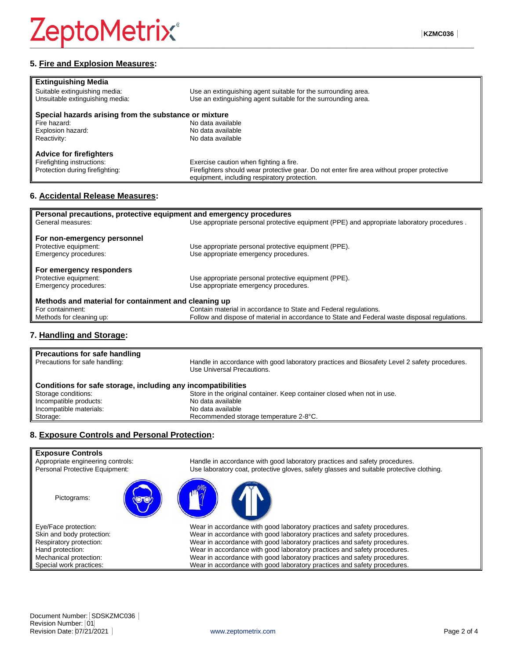### **5. Fire and Explosion Measures:**

| <b>Extinguishing Media</b>                            |                                                                                            |  |
|-------------------------------------------------------|--------------------------------------------------------------------------------------------|--|
| Suitable extinguishing media:                         | Use an extinguishing agent suitable for the surrounding area.                              |  |
| Unsuitable extinguishing media:                       | Use an extinguishing agent suitable for the surrounding area.                              |  |
| Special hazards arising from the substance or mixture |                                                                                            |  |
| Fire hazard:                                          | No data available                                                                          |  |
| Explosion hazard:                                     | No data available                                                                          |  |
| Reactivity:                                           | No data available                                                                          |  |
| <b>Advice for firefighters</b>                        |                                                                                            |  |
| Firefighting instructions:                            | Exercise caution when fighting a fire.                                                     |  |
| Protection during firefighting:                       | Firefighters should wear protective gear. Do not enter fire area without proper protective |  |
|                                                       | equipment, including respiratory protection.                                               |  |

#### **6. Accidental Release Measures:**

| Personal precautions, protective equipment and emergency procedures |                                                                                               |  |
|---------------------------------------------------------------------|-----------------------------------------------------------------------------------------------|--|
| General measures:                                                   | Use appropriate personal protective equipment (PPE) and appropriate laboratory procedures.    |  |
|                                                                     |                                                                                               |  |
| For non-emergency personnel                                         |                                                                                               |  |
| Protective equipment:                                               | Use appropriate personal protective equipment (PPE).                                          |  |
| Emergency procedures:                                               | Use appropriate emergency procedures.                                                         |  |
| For emergency responders                                            |                                                                                               |  |
| Protective equipment:                                               | Use appropriate personal protective equipment (PPE).                                          |  |
| Emergency procedures:                                               | Use appropriate emergency procedures.                                                         |  |
| Methods and material for containment and cleaning up                |                                                                                               |  |
| For containment:                                                    | Contain material in accordance to State and Federal regulations.                              |  |
| Methods for cleaning up:                                            | Follow and dispose of material in accordance to State and Federal waste disposal regulations. |  |

# **7. Handling and Storage:**

| <b>Precautions for safe handling</b><br>Precautions for safe handling: | Handle in accordance with good laboratory practices and Biosafety Level 2 safety procedures.<br>Use Universal Precautions. |
|------------------------------------------------------------------------|----------------------------------------------------------------------------------------------------------------------------|
| Conditions for safe storage, including any incompatibilities           |                                                                                                                            |
| Storage conditions:<br>Incompatible products:                          | Store in the original container. Keep container closed when not in use.<br>No data available                               |
| Incompatible materials:                                                | No data available                                                                                                          |
| Storage:                                                               | Recommended storage temperature 2-8°C.                                                                                     |
|                                                                        |                                                                                                                            |

#### **8. Exposure Controls and Personal Protection:**

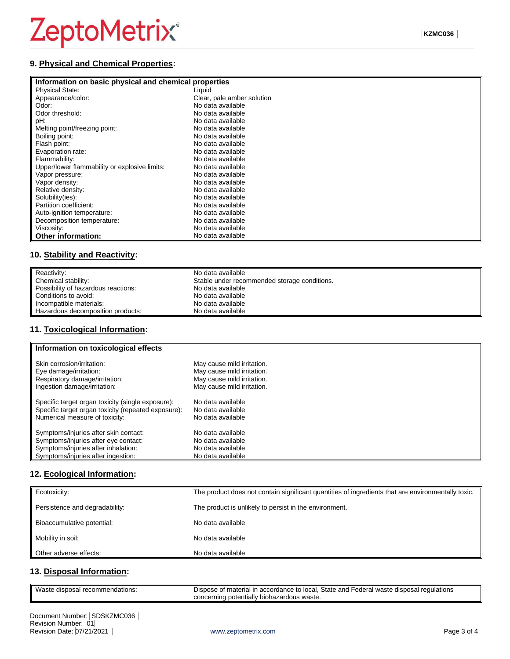# $Zepto$ Metrix®

#### **9. Physical and Chemical Properties:**

#### **Information on basic physical and chemical properties**

| <b>INTO MARGIN ON DASIV PHYSICAL AND CHUMBAL PLOPULIUS</b> |                            |
|------------------------------------------------------------|----------------------------|
| <b>Physical State:</b>                                     | Liquid                     |
| Appearance/color:                                          | Clear, pale amber solution |
| Odor:                                                      | No data available          |
| Odor threshold:                                            | No data available          |
| pH:                                                        | No data available          |
| Melting point/freezing point:                              | No data available          |
| Boiling point:                                             | No data available          |
| Flash point:                                               | No data available          |
| Evaporation rate:                                          | No data available          |
| Flammability:                                              | No data available          |
| Upper/lower flammability or explosive limits:              | No data available          |
| Vapor pressure:                                            | No data available          |
| Vapor density:                                             | No data available          |
| Relative density:                                          | No data available          |
| Solubility(ies):                                           | No data available          |
| Partition coefficient:                                     | No data available          |
| Auto-ignition temperature:                                 | No data available          |
| Decomposition temperature:                                 | No data available          |
| Viscosity:                                                 | No data available          |
| <b>Other information:</b>                                  | No data available          |

#### **10. Stability and Reactivity:**

| Reactivity:                         | No data available                            |
|-------------------------------------|----------------------------------------------|
| Chemical stability:                 | Stable under recommended storage conditions. |
| Possibility of hazardous reactions: | No data available                            |
| Conditions to avoid:                | No data available                            |
| Incompatible materials:             | No data available                            |
| Hazardous decomposition products:   | No data available                            |

# **11. Toxicological Information:**

| Information on toxicological effects                |                            |
|-----------------------------------------------------|----------------------------|
| Skin corrosion/irritation:                          | May cause mild irritation. |
| Eye damage/irritation:                              | May cause mild irritation. |
| Respiratory damage/irritation:                      | May cause mild irritation. |
| Ingestion damage/irritation:                        | May cause mild irritation. |
| Specific target organ toxicity (single exposure):   | No data available          |
| Specific target organ toxicity (repeated exposure): | No data available          |
| Numerical measure of toxicity:                      | No data available          |
| Symptoms/injuries after skin contact:               | No data available          |
| Symptoms/injuries after eye contact:                | No data available          |
| Symptoms/injuries after inhalation:                 | No data available          |
| Symptoms/injuries after ingestion:                  | No data available          |

### **12. Ecological Information:**

| Ecotoxicity:                   | The product does not contain significant quantities of ingredients that are environmentally toxic. |
|--------------------------------|----------------------------------------------------------------------------------------------------|
| Persistence and degradability: | The product is unlikely to persist in the environment.                                             |
| Bioaccumulative potential:     | No data available                                                                                  |
| Mobility in soil:              | No data available                                                                                  |
| Other adverse effects:         | No data available                                                                                  |

#### **13. Disposal Information:**

| Waste disposal recommendations: | Dispose of material in accordance to local. State and Federal waste disposal regulations |
|---------------------------------|------------------------------------------------------------------------------------------|
|                                 | concerning potentially biohazardous waste.                                               |